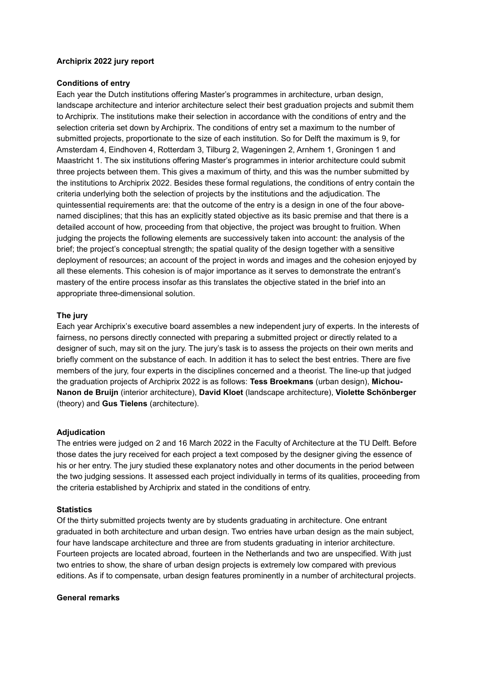## **Archiprix 2022 jury report**

#### **Conditions of entry**

Each year the Dutch institutions offering Master's programmes in architecture, urban design, landscape architecture and interior architecture select their best graduation projects and submit them to Archiprix. The institutions make their selection in accordance with the conditions of entry and the selection criteria set down by Archiprix. The conditions of entry set a maximum to the number of submitted projects, proportionate to the size of each institution. So for Delft the maximum is 9, for Amsterdam 4, Eindhoven 4, Rotterdam 3, Tilburg 2, Wageningen 2, Arnhem 1, Groningen 1 and Maastricht 1. The six institutions offering Master's programmes in interior architecture could submit three projects between them. This gives a maximum of thirty, and this was the number submitted by the institutions to Archiprix 2022. Besides these formal regulations, the conditions of entry contain the criteria underlying both the selection of projects by the institutions and the adjudication. The quintessential requirements are: that the outcome of the entry is a design in one of the four abovenamed disciplines; that this has an explicitly stated objective as its basic premise and that there is a detailed account of how, proceeding from that objective, the project was brought to fruition. When judging the projects the following elements are successively taken into account: the analysis of the brief; the project's conceptual strength; the spatial quality of the design together with a sensitive deployment of resources; an account of the project in words and images and the cohesion enjoyed by all these elements. This cohesion is of major importance as it serves to demonstrate the entrant's mastery of the entire process insofar as this translates the objective stated in the brief into an appropriate three-dimensional solution.

#### **The jury**

Each year Archiprix's executive board assembles a new independent jury of experts. In the interests of fairness, no persons directly connected with preparing a submitted project or directly related to a designer of such, may sit on the jury. The jury's task is to assess the projects on their own merits and briefly comment on the substance of each. In addition it has to select the best entries. There are five members of the jury, four experts in the disciplines concerned and a theorist. The line-up that judged the graduation projects of Archiprix 2022 is as follows: **Tess Broekmans** (urban design), **Michou-Nanon de Bruijn** (interior architecture), **David Kloet** (landscape architecture), **Violette Schönberger** (theory) and **Gus Tielens** (architecture).

#### **Adjudication**

The entries were judged on 2 and 16 March 2022 in the Faculty of Architecture at the TU Delft. Before those dates the jury received for each project a text composed by the designer giving the essence of his or her entry. The jury studied these explanatory notes and other documents in the period between the two judging sessions. It assessed each project individually in terms of its qualities, proceeding from the criteria established by Archiprix and stated in the conditions of entry.

#### **Statistics**

Of the thirty submitted projects twenty are by students graduating in architecture. One entrant graduated in both architecture and urban design. Two entries have urban design as the main subject, four have landscape architecture and three are from students graduating in interior architecture. Fourteen projects are located abroad, fourteen in the Netherlands and two are unspecified. With just two entries to show, the share of urban design projects is extremely low compared with previous editions. As if to compensate, urban design features prominently in a number of architectural projects.

#### **General remarks**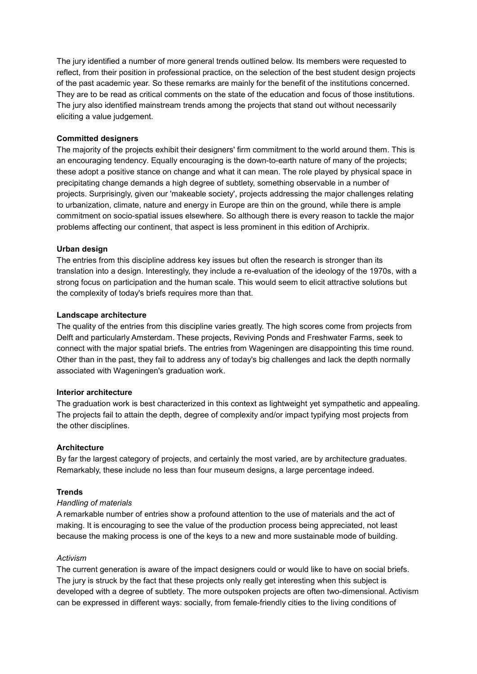The jury identified a number of more general trends outlined below. Its members were requested to reflect, from their position in professional practice, on the selection of the best student design projects of the past academic year. So these remarks are mainly for the benefit of the institutions concerned. They are to be read as critical comments on the state of the education and focus of those institutions. The jury also identified mainstream trends among the projects that stand out without necessarily eliciting a value judgement.

## **Committed designers**

The majority of the projects exhibit their designers' firm commitment to the world around them. This is an encouraging tendency. Equally encouraging is the down-to-earth nature of many of the projects; these adopt a positive stance on change and what it can mean. The role played by physical space in precipitating change demands a high degree of subtlety, something observable in a number of projects. Surprisingly, given our 'makeable society', projects addressing the major challenges relating to urbanization, climate, nature and energy in Europe are thin on the ground, while there is ample commitment on socio-spatial issues elsewhere. So although there is every reason to tackle the major problems affecting our continent, that aspect is less prominent in this edition of Archiprix.

## **Urban design**

The entries from this discipline address key issues but often the research is stronger than its translation into a design. Interestingly, they include a re-evaluation of the ideology of the 1970s, with a strong focus on participation and the human scale. This would seem to elicit attractive solutions but the complexity of today's briefs requires more than that.

## **Landscape architecture**

The quality of the entries from this discipline varies greatly. The high scores come from projects from Delft and particularly Amsterdam. These projects, Reviving Ponds and Freshwater Farms, seek to connect with the major spatial briefs. The entries from Wageningen are disappointing this time round. Other than in the past, they fail to address any of today's big challenges and lack the depth normally associated with Wageningen's graduation work.

## **Interior architecture**

The graduation work is best characterized in this context as lightweight yet sympathetic and appealing. The projects fail to attain the depth, degree of complexity and/or impact typifying most projects from the other disciplines.

## **Architecture**

By far the largest category of projects, and certainly the most varied, are by architecture graduates. Remarkably, these include no less than four museum designs, a large percentage indeed.

## **Trends**

## *Handling of materials*

A remarkable number of entries show a profound attention to the use of materials and the act of making. It is encouraging to see the value of the production process being appreciated, not least because the making process is one of the keys to a new and more sustainable mode of building.

## *Activism*

The current generation is aware of the impact designers could or would like to have on social briefs. The jury is struck by the fact that these projects only really get interesting when this subject is developed with a degree of subtlety. The more outspoken projects are often two-dimensional. Activism can be expressed in different ways: socially, from female-friendly cities to the living conditions of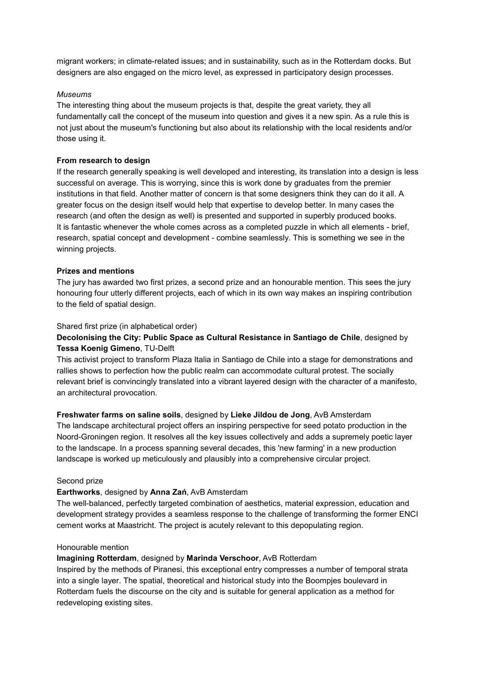migrant workers; in climate-related issues; and in sustainability, such as in the Rotterdam docks. But designers are also engaged on the micro level, as expressed in participatory design processes.

#### *Museums*

The interesting thing about the museum projects is that, despite the great variety, they all fundamentally call the concept of the museum into question and gives it a new spin. As a rule this is not just about the museum's functioning but also about its relationship with the local residents and/or those using it.

#### **From research to design**

If the research generally speaking is well developed and interesting, its translation into a design is less successful on average. This is worrying, since this is work done by graduates from the premier institutions in that field. Another matter of concern is that some designers think they can do it all. A greater focus on the design itself would help that expertise to develop better. In many cases the research (and often the design as well) is presented and supported in superbly produced books. It is fantastic whenever the whole comes across as a completed puzzle in which all elements - brief, research, spatial concept and development - combine seamlessly. This is something we see in the winning projects.

#### **Prizes and mentions**

The jury has awarded two first prizes, a second prize and an honourable mention. This sees the jury honouring four utterly different projects, each of which in its own way makes an inspiring contribution to the field of spatial design.

#### Shared first prize (in alphabetical order)

# **Decolonising the City: Public Space as Cultural Resistance in Santiago de Chile**, designed by **Tessa Koenig Gimeno**, TU-Delft

This activist project to transform Plaza Italia in Santiago de Chile into a stage for demonstrations and rallies shows to perfection how the public realm can accommodate cultural protest. The socially relevant brief is convincingly translated into a vibrant layered design with the character of a manifesto, an architectural provocation.

## **Freshwater farms on saline soils**, designed by **Lieke Jildou de Jong**, AvB Amsterdam

The landscape architectural project offers an inspiring perspective for seed potato production in the Noord-Groningen region. It resolves all the key issues collectively and adds a supremely poetic layer to the landscape. In a process spanning several decades, this 'new farming' in a new production landscape is worked up meticulously and plausibly into a comprehensive circular project.

#### Second prize

## **Earthworks**, designed by **Anna Zań**, AvB Amsterdam

The well-balanced, perfectly targeted combination of aesthetics, material expression, education and development strategy provides a seamless response to the challenge of transforming the former ENCI cement works at Maastricht. The project is acutely relevant to this depopulating region.

# Honourable mention

#### **Imagining Rotterdam**, designed by **Marinda Verschoor**, AvB Rotterdam

Inspired by the methods of Piranesi, this exceptional entry compresses a number of temporal strata into a single layer. The spatial, theoretical and historical study into the Boompjes boulevard in Rotterdam fuels the discourse on the city and is suitable for general application as a method for redeveloping existing sites.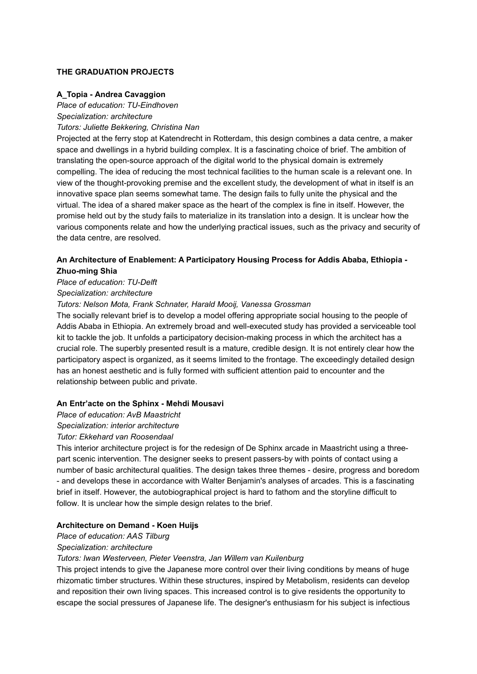## **THE GRADUATION PROJECTS**

## **A\_Topia - Andrea Cavaggion**

*Place of education: TU-Eindhoven*

*Specialization: architecture*

*Tutors: Juliette Bekkering, Christina Nan*

Projected at the ferry stop at Katendrecht in Rotterdam, this design combines a data centre, a maker space and dwellings in a hybrid building complex. It is a fascinating choice of brief. The ambition of translating the open-source approach of the digital world to the physical domain is extremely compelling. The idea of reducing the most technical facilities to the human scale is a relevant one. In view of the thought-provoking premise and the excellent study, the development of what in itself is an innovative space plan seems somewhat tame. The design fails to fully unite the physical and the virtual. The idea of a shared maker space as the heart of the complex is fine in itself. However, the promise held out by the study fails to materialize in its translation into a design. It is unclear how the various components relate and how the underlying practical issues, such as the privacy and security of the data centre, are resolved.

# **An Architecture of Enablement: A Participatory Housing Process for Addis Ababa, Ethiopia - Zhuo-ming Shia**

*Place of education: TU-Delft*

*Specialization: architecture*

## *Tutors: Nelson Mota, Frank Schnater, Harald Mooij, Vanessa Grossman*

The socially relevant brief is to develop a model offering appropriate social housing to the people of Addis Ababa in Ethiopia. An extremely broad and well-executed study has provided a serviceable tool kit to tackle the job. It unfolds a participatory decision-making process in which the architect has a crucial role. The superbly presented result is a mature, credible design. It is not entirely clear how the participatory aspect is organized, as it seems limited to the frontage. The exceedingly detailed design has an honest aesthetic and is fully formed with sufficient attention paid to encounter and the relationship between public and private.

## **An Entr'acte on the Sphinx - Mehdi Mousavi**

*Place of education: AvB Maastricht*

*Specialization: interior architecture*

# *Tutor: Ekkehard van Roosendaal*

This interior architecture project is for the redesign of De Sphinx arcade in Maastricht using a threepart scenic intervention. The designer seeks to present passers-by with points of contact using a number of basic architectural qualities. The design takes three themes - desire, progress and boredom - and develops these in accordance with Walter Benjamin's analyses of arcades. This is a fascinating brief in itself. However, the autobiographical project is hard to fathom and the storyline difficult to follow. It is unclear how the simple design relates to the brief.

## **Architecture on Demand - Koen Huijs**

*Place of education: AAS Tilburg*

## *Specialization: architecture*

## *Tutors: Iwan Westerveen, Pieter Veenstra, Jan Willem van Kuilenburg*

This project intends to give the Japanese more control over their living conditions by means of huge rhizomatic timber structures. Within these structures, inspired by Metabolism, residents can develop and reposition their own living spaces. This increased control is to give residents the opportunity to escape the social pressures of Japanese life. The designer's enthusiasm for his subject is infectious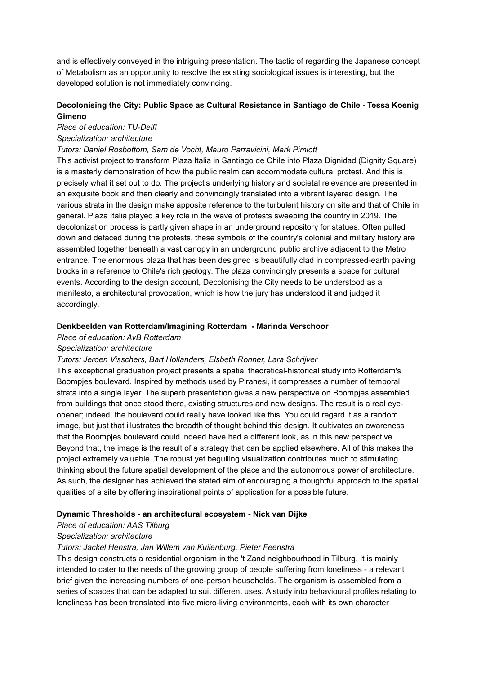and is effectively conveyed in the intriguing presentation. The tactic of regarding the Japanese concept of Metabolism as an opportunity to resolve the existing sociological issues is interesting, but the developed solution is not immediately convincing.

# **Decolonising the City: Public Space as Cultural Resistance in Santiago de Chile - Tessa Koenig Gimeno**

# *Place of education: TU-Delft*

# *Specialization: architecture*

## *Tutors: Daniel Rosbottom, Sam de Vocht, Mauro Parravicini, Mark Pimlott*

This activist project to transform Plaza Italia in Santiago de Chile into Plaza Dignidad (Dignity Square) is a masterly demonstration of how the public realm can accommodate cultural protest. And this is precisely what it set out to do. The project's underlying history and societal relevance are presented in an exquisite book and then clearly and convincingly translated into a vibrant layered design. The various strata in the design make apposite reference to the turbulent history on site and that of Chile in general. Plaza Italia played a key role in the wave of protests sweeping the country in 2019. The decolonization process is partly given shape in an underground repository for statues. Often pulled down and defaced during the protests, these symbols of the country's colonial and military history are assembled together beneath a vast canopy in an underground public archive adjacent to the Metro entrance. The enormous plaza that has been designed is beautifully clad in compressed-earth paving blocks in a reference to Chile's rich geology. The plaza convincingly presents a space for cultural events. According to the design account, Decolonising the City needs to be understood as a manifesto, a architectural provocation, which is how the jury has understood it and judged it accordingly.

#### **Denkbeelden van Rotterdam/Imagining Rotterdam - Marinda Verschoor**

## *Place of education: AvB Rotterdam*

## *Specialization: architecture*

## *Tutors: Jeroen Visschers, Bart Hollanders, Elsbeth Ronner, Lara Schrijver*

This exceptional graduation project presents a spatial theoretical-historical study into Rotterdam's Boompjes boulevard. Inspired by methods used by Piranesi, it compresses a number of temporal strata into a single layer. The superb presentation gives a new perspective on Boompjes assembled from buildings that once stood there, existing structures and new designs. The result is a real eyeopener; indeed, the boulevard could really have looked like this. You could regard it as a random image, but just that illustrates the breadth of thought behind this design. It cultivates an awareness that the Boompjes boulevard could indeed have had a different look, as in this new perspective. Beyond that, the image is the result of a strategy that can be applied elsewhere. All of this makes the project extremely valuable. The robust yet beguiling visualization contributes much to stimulating thinking about the future spatial development of the place and the autonomous power of architecture. As such, the designer has achieved the stated aim of encouraging a thoughtful approach to the spatial qualities of a site by offering inspirational points of application for a possible future.

## **Dynamic Thresholds - an architectural ecosystem - Nick van Dijke**

## *Place of education: AAS Tilburg*

## *Specialization: architecture*

## *Tutors: Jackel Henstra, Jan Willem van Kuilenburg, Pieter Feenstra*

This design constructs a residential organism in the 't Zand neighbourhood in Tilburg. It is mainly intended to cater to the needs of the growing group of people suffering from loneliness - a relevant brief given the increasing numbers of one-person households. The organism is assembled from a series of spaces that can be adapted to suit different uses. A study into behavioural profiles relating to loneliness has been translated into five micro-living environments, each with its own character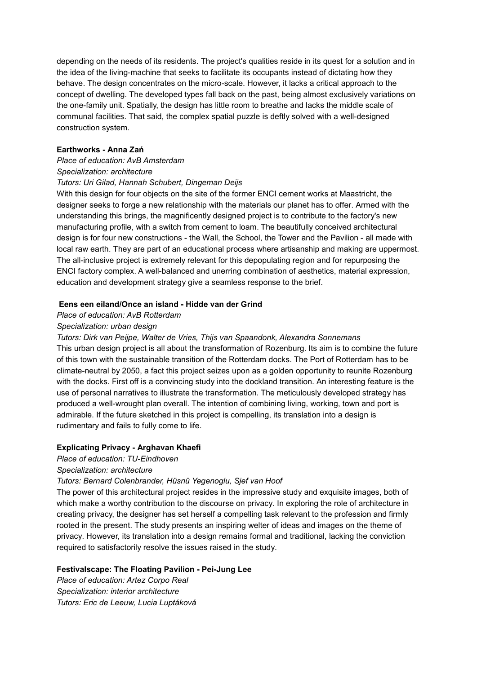depending on the needs of its residents. The project's qualities reside in its quest for a solution and in the idea of the living-machine that seeks to facilitate its occupants instead of dictating how they behave. The design concentrates on the micro-scale. However, it lacks a critical approach to the concept of dwelling. The developed types fall back on the past, being almost exclusively variations on the one-family unit. Spatially, the design has little room to breathe and lacks the middle scale of communal facilities. That said, the complex spatial puzzle is deftly solved with a well-designed construction system.

#### **Earthworks - Anna Zań**

#### *Place of education: AvB Amsterdam*

#### *Specialization: architecture*

#### *Tutors: Uri Gilad, Hannah Schubert, Dingeman Deijs*

With this design for four objects on the site of the former ENCI cement works at Maastricht, the designer seeks to forge a new relationship with the materials our planet has to offer. Armed with the understanding this brings, the magnificently designed project is to contribute to the factory's new manufacturing profile, with a switch from cement to loam. The beautifully conceived architectural design is for four new constructions - the Wall, the School, the Tower and the Pavilion - all made with local raw earth. They are part of an educational process where artisanship and making are uppermost. The all-inclusive project is extremely relevant for this depopulating region and for repurposing the ENCI factory complex. A well-balanced and unerring combination of aesthetics, material expression, education and development strategy give a seamless response to the brief.

#### **Eens een eiland/Once an island - Hidde van der Grind**

## *Place of education: AvB Rotterdam*

#### *Specialization: urban design*

*Tutors: Dirk van Peijpe, Walter de Vries, Thijs van Spaandonk, Alexandra Sonnemans* This urban design project is all about the transformation of Rozenburg. Its aim is to combine the future of this town with the sustainable transition of the Rotterdam docks. The Port of Rotterdam has to be climate-neutral by 2050, a fact this project seizes upon as a golden opportunity to reunite Rozenburg with the docks. First off is a convincing study into the dockland transition. An interesting feature is the use of personal narratives to illustrate the transformation. The meticulously developed strategy has produced a well-wrought plan overall. The intention of combining living, working, town and port is admirable. If the future sketched in this project is compelling, its translation into a design is rudimentary and fails to fully come to life.

#### **Explicating Privacy - Arghavan Khaefi**

# *Place of education: TU-Eindhoven*

## *Specialization: architecture*

## *Tutors: Bernard Colenbrander, Hüsnü Yegenoglu, Sjef van Hoof*

The power of this architectural project resides in the impressive study and exquisite images, both of which make a worthy contribution to the discourse on privacy. In exploring the role of architecture in creating privacy, the designer has set herself a compelling task relevant to the profession and firmly rooted in the present. The study presents an inspiring welter of ideas and images on the theme of privacy. However, its translation into a design remains formal and traditional, lacking the conviction required to satisfactorily resolve the issues raised in the study.

## **Festivalscape: The Floating Pavilion - Pei-Jung Lee**

*Place of education: Artez Corpo Real Specialization: interior architecture Tutors: Eric de Leeuw, Lucia Luptáková*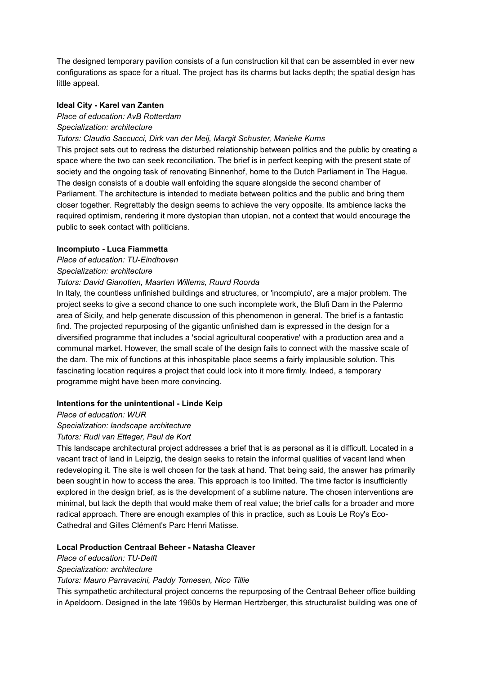The designed temporary pavilion consists of a fun construction kit that can be assembled in ever new configurations as space for a ritual. The project has its charms but lacks depth; the spatial design has little appeal.

#### **Ideal City - Karel van Zanten**

#### *Place of education: AvB Rotterdam*

*Specialization: architecture*

#### *Tutors: Claudio Saccucci, Dirk van der Meij, Margit Schuster, Marieke Kums*

This project sets out to redress the disturbed relationship between politics and the public by creating a space where the two can seek reconciliation. The brief is in perfect keeping with the present state of society and the ongoing task of renovating Binnenhof, home to the Dutch Parliament in The Hague. The design consists of a double wall enfolding the square alongside the second chamber of Parliament. The architecture is intended to mediate between politics and the public and bring them closer together. Regrettably the design seems to achieve the very opposite. Its ambience lacks the required optimism, rendering it more dystopian than utopian, not a context that would encourage the public to seek contact with politicians.

#### **Incompiuto - Luca Fiammetta**

#### *Place of education: TU-Eindhoven*

#### *Specialization: architecture*

#### *Tutors: David Gianotten, Maarten Willems, Ruurd Roorda*

In Italy, the countless unfinished buildings and structures, or 'incompiuto', are a major problem. The project seeks to give a second chance to one such incomplete work, the Blufi Dam in the Palermo area of Sicily, and help generate discussion of this phenomenon in general. The brief is a fantastic find. The projected repurposing of the gigantic unfinished dam is expressed in the design for a diversified programme that includes a 'social agricultural cooperative' with a production area and a communal market. However, the small scale of the design fails to connect with the massive scale of the dam. The mix of functions at this inhospitable place seems a fairly implausible solution. This fascinating location requires a project that could lock into it more firmly. Indeed, a temporary programme might have been more convincing.

#### **Intentions for the unintentional - Linde Keip**

#### *Place of education: WUR*

## *Specialization: landscape architecture*

## *Tutors: Rudi van Etteger, Paul de Kort*

This landscape architectural project addresses a brief that is as personal as it is difficult. Located in a vacant tract of land in Leipzig, the design seeks to retain the informal qualities of vacant land when redeveloping it. The site is well chosen for the task at hand. That being said, the answer has primarily been sought in how to access the area. This approach is too limited. The time factor is insufficiently explored in the design brief, as is the development of a sublime nature. The chosen interventions are minimal, but lack the depth that would make them of real value; the brief calls for a broader and more radical approach. There are enough examples of this in practice, such as Louis Le Roy's Eco-Cathedral and Gilles Clément's Parc Henri Matisse.

## **Local Production Centraal Beheer - Natasha Cleaver**

#### *Place of education: TU-Delft*

#### *Specialization: architecture*

*Tutors: Mauro Parravacini, Paddy Tomesen, Nico Tillie*

This sympathetic architectural project concerns the repurposing of the Centraal Beheer office building in Apeldoorn. Designed in the late 1960s by Herman Hertzberger, this structuralist building was one of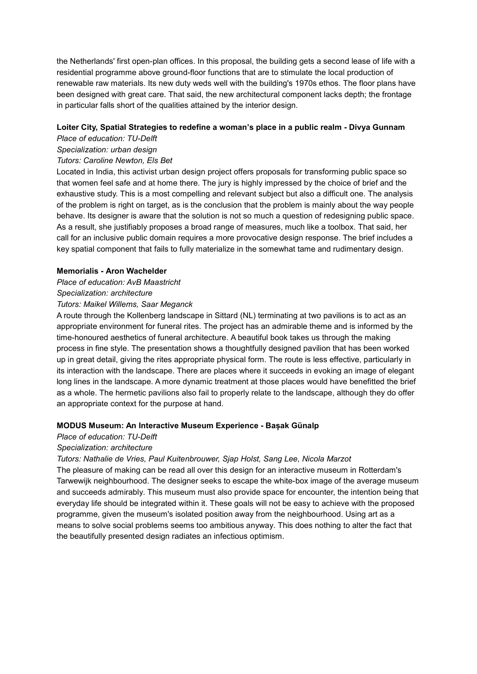the Netherlands' first open-plan offices. In this proposal, the building gets a second lease of life with a residential programme above ground-floor functions that are to stimulate the local production of renewable raw materials. Its new duty weds well with the building's 1970s ethos. The floor plans have been designed with great care. That said, the new architectural component lacks depth; the frontage in particular falls short of the qualities attained by the interior design.

# **Loiter City, Spatial Strategies to redefine a woman's place in a public realm - Divya Gunnam**

# *Place of education: TU-Delft*

# *Specialization: urban design*

## *Tutors: Caroline Newton, Els Bet*

Located in India, this activist urban design project offers proposals for transforming public space so that women feel safe and at home there. The jury is highly impressed by the choice of brief and the exhaustive study. This is a most compelling and relevant subject but also a difficult one. The analysis of the problem is right on target, as is the conclusion that the problem is mainly about the way people behave. Its designer is aware that the solution is not so much a question of redesigning public space. As a result, she justifiably proposes a broad range of measures, much like a toolbox. That said, her call for an inclusive public domain requires a more provocative design response. The brief includes a key spatial component that fails to fully materialize in the somewhat tame and rudimentary design.

## **Memorialis - Aron Wachelder**

# *Place of education: AvB Maastricht*

# *Specialization: architecture*

## *Tutors: Maikel Willems, Saar Meganck*

A route through the Kollenberg landscape in Sittard (NL) terminating at two pavilions is to act as an appropriate environment for funeral rites. The project has an admirable theme and is informed by the time-honoured aesthetics of funeral architecture. A beautiful book takes us through the making process in fine style. The presentation shows a thoughtfully designed pavilion that has been worked up in great detail, giving the rites appropriate physical form. The route is less effective, particularly in its interaction with the landscape. There are places where it succeeds in evoking an image of elegant long lines in the landscape. A more dynamic treatment at those places would have benefitted the brief as a whole. The hermetic pavilions also fail to properly relate to the landscape, although they do offer an appropriate context for the purpose at hand.

# **MODUS Museum: An Interactive Museum Experience - Bașak Günalp**

# *Place of education: TU-Delft*

# *Specialization: architecture*

# *Tutors: Nathalie de Vries, Paul Kuitenbrouwer, Sjap Holst, Sang Lee, Nicola Marzot*

The pleasure of making can be read all over this design for an interactive museum in Rotterdam's Tarwewijk neighbourhood. The designer seeks to escape the white-box image of the average museum and succeeds admirably. This museum must also provide space for encounter, the intention being that everyday life should be integrated within it. These goals will not be easy to achieve with the proposed programme, given the museum's isolated position away from the neighbourhood. Using art as a means to solve social problems seems too ambitious anyway. This does nothing to alter the fact that the beautifully presented design radiates an infectious optimism.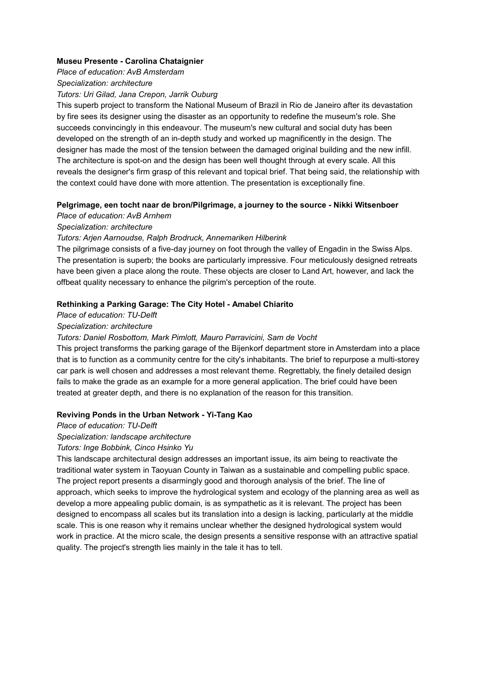#### **Museu Presente - Carolina Chataignier**

*Place of education: AvB Amsterdam*

#### *Specialization: architecture*

#### *Tutors: Uri Gilad, Jana Crepon, Jarrik Ouburg*

This superb project to transform the National Museum of Brazil in Rio de Janeiro after its devastation by fire sees its designer using the disaster as an opportunity to redefine the museum's role. She succeeds convincingly in this endeavour. The museum's new cultural and social duty has been developed on the strength of an in-depth study and worked up magnificently in the design. The designer has made the most of the tension between the damaged original building and the new infill. The architecture is spot-on and the design has been well thought through at every scale. All this reveals the designer's firm grasp of this relevant and topical brief. That being said, the relationship with the context could have done with more attention. The presentation is exceptionally fine.

## **Pelgrimage, een tocht naar de bron/Pilgrimage, a journey to the source - Nikki Witsenboer**

# *Place of education: AvB Arnhem*

## *Specialization: architecture*

## *Tutors: Arjen Aarnoudse, Ralph Brodruck, Annemariken Hilberink*

The pilgrimage consists of a five-day journey on foot through the valley of Engadin in the Swiss Alps. The presentation is superb; the books are particularly impressive. Four meticulously designed retreats have been given a place along the route. These objects are closer to Land Art, however, and lack the offbeat quality necessary to enhance the pilgrim's perception of the route.

## **Rethinking a Parking Garage: The City Hotel - Amabel Chiarito**

# *Place of education: TU-Delft*

## *Specialization: architecture*

## *Tutors: Daniel Rosbottom, Mark Pimlott, Mauro Parravicini, Sam de Vocht*

This project transforms the parking garage of the Bijenkorf department store in Amsterdam into a place that is to function as a community centre for the city's inhabitants. The brief to repurpose a multi-storey car park is well chosen and addresses a most relevant theme. Regrettably, the finely detailed design fails to make the grade as an example for a more general application. The brief could have been treated at greater depth, and there is no explanation of the reason for this transition.

## **Reviving Ponds in the Urban Network - Yi-Tang Kao**

## *Place of education: TU-Delft*

## *Specialization: landscape architecture*

## *Tutors: Inge Bobbink, Cinco Hsinko Yu*

This landscape architectural design addresses an important issue, its aim being to reactivate the traditional water system in Taoyuan County in Taiwan as a sustainable and compelling public space. The project report presents a disarmingly good and thorough analysis of the brief. The line of approach, which seeks to improve the hydrological system and ecology of the planning area as well as develop a more appealing public domain, is as sympathetic as it is relevant. The project has been designed to encompass all scales but its translation into a design is lacking, particularly at the middle scale. This is one reason why it remains unclear whether the designed hydrological system would work in practice. At the micro scale, the design presents a sensitive response with an attractive spatial quality. The project's strength lies mainly in the tale it has to tell.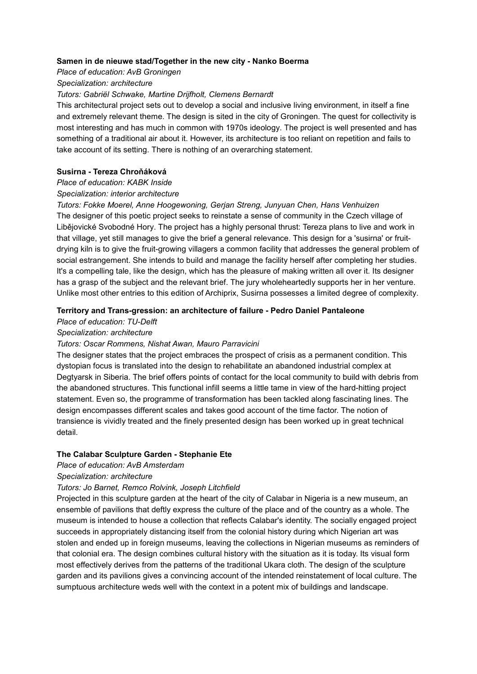#### **Samen in de nieuwe stad/Together in the new city - Nanko Boerma**

*Place of education: AvB Groningen*

#### *Specialization: architecture*

#### *Tutors: Gabriël Schwake, Martine Drijfholt, Clemens Bernardt*

This architectural project sets out to develop a social and inclusive living environment, in itself a fine and extremely relevant theme. The design is sited in the city of Groningen. The quest for collectivity is most interesting and has much in common with 1970s ideology. The project is well presented and has something of a traditional air about it. However, its architecture is too reliant on repetition and fails to take account of its setting. There is nothing of an overarching statement.

## **Susirna - Tereza Chroňáková**

## *Place of education: KABK Inside*

#### *Specialization: interior architecture*

*Tutors: Fokke Moerel, Anne Hoogewoning, Gerjan Streng, Junyuan Chen, Hans Venhuizen* The designer of this poetic project seeks to reinstate a sense of community in the Czech village of Libějovické Svobodné Hory. The project has a highly personal thrust: Tereza plans to live and work in that village, yet still manages to give the brief a general relevance. This design for a 'susirna' or fruitdrying kiln is to give the fruit-growing villagers a common facility that addresses the general problem of social estrangement. She intends to build and manage the facility herself after completing her studies. It's a compelling tale, like the design, which has the pleasure of making written all over it. Its designer has a grasp of the subject and the relevant brief. The jury wholeheartedly supports her in her venture. Unlike most other entries to this edition of Archiprix, Susirna possesses a limited degree of complexity.

## **Territory and Trans-gression: an architecture of failure - Pedro Daniel Pantaleone**

## *Place of education: TU-Delft*

## *Specialization: architecture*

## *Tutors: Oscar Rommens, Nishat Awan, Mauro Parravicini*

The designer states that the project embraces the prospect of crisis as a permanent condition. This dystopian focus is translated into the design to rehabilitate an abandoned industrial complex at Degtyarsk in Siberia. The brief offers points of contact for the local community to build with debris from the abandoned structures. This functional infill seems a little tame in view of the hard-hitting project statement. Even so, the programme of transformation has been tackled along fascinating lines. The design encompasses different scales and takes good account of the time factor. The notion of transience is vividly treated and the finely presented design has been worked up in great technical detail.

## **The Calabar Sculpture Garden - Stephanie Ete**

## *Place of education: AvB Amsterdam*

## *Specialization: architecture*

## *Tutors: Jo Barnet, Remco Rolvink, Joseph Litchfield*

Projected in this sculpture garden at the heart of the city of Calabar in Nigeria is a new museum, an ensemble of pavilions that deftly express the culture of the place and of the country as a whole. The museum is intended to house a collection that reflects Calabar's identity. The socially engaged project succeeds in appropriately distancing itself from the colonial history during which Nigerian art was stolen and ended up in foreign museums, leaving the collections in Nigerian museums as reminders of that colonial era. The design combines cultural history with the situation as it is today. Its visual form most effectively derives from the patterns of the traditional Ukara cloth. The design of the sculpture garden and its pavilions gives a convincing account of the intended reinstatement of local culture. The sumptuous architecture weds well with the context in a potent mix of buildings and landscape.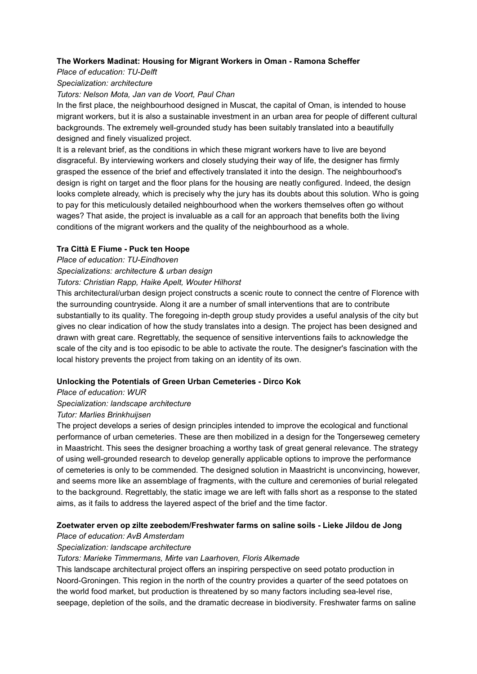## **The Workers Madinat: Housing for Migrant Workers in Oman - Ramona Scheffer**

## *Place of education: TU-Delft*

## *Specialization: architecture*

## *Tutors: Nelson Mota, Jan van de Voort, Paul Chan*

In the first place, the neighbourhood designed in Muscat, the capital of Oman, is intended to house migrant workers, but it is also a sustainable investment in an urban area for people of different cultural backgrounds. The extremely well-grounded study has been suitably translated into a beautifully designed and finely visualized project.

It is a relevant brief, as the conditions in which these migrant workers have to live are beyond disgraceful. By interviewing workers and closely studying their way of life, the designer has firmly grasped the essence of the brief and effectively translated it into the design. The neighbourhood's design is right on target and the floor plans for the housing are neatly configured. Indeed, the design looks complete already, which is precisely why the jury has its doubts about this solution. Who is going to pay for this meticulously detailed neighbourhood when the workers themselves often go without wages? That aside, the project is invaluable as a call for an approach that benefits both the living conditions of the migrant workers and the quality of the neighbourhood as a whole.

## **Tra Città E Fiume - Puck ten Hoope**

*Place of education: TU-Eindhoven*

*Specializations: architecture & urban design*

## *Tutors: Christian Rapp, Haike Apelt, Wouter Hilhorst*

This architectural/urban design project constructs a scenic route to connect the centre of Florence with the surrounding countryside. Along it are a number of small interventions that are to contribute substantially to its quality. The foregoing in-depth group study provides a useful analysis of the city but gives no clear indication of how the study translates into a design. The project has been designed and drawn with great care. Regrettably, the sequence of sensitive interventions fails to acknowledge the scale of the city and is too episodic to be able to activate the route. The designer's fascination with the local history prevents the project from taking on an identity of its own.

# **Unlocking the Potentials of Green Urban Cemeteries - Dirco Kok**

*Place of education: WUR*

*Specialization: landscape architecture*

# *Tutor: Marlies Brinkhuijsen*

The project develops a series of design principles intended to improve the ecological and functional performance of urban cemeteries. These are then mobilized in a design for the Tongerseweg cemetery in Maastricht. This sees the designer broaching a worthy task of great general relevance. The strategy of using well-grounded research to develop generally applicable options to improve the performance of cemeteries is only to be commended. The designed solution in Maastricht is unconvincing, however, and seems more like an assemblage of fragments, with the culture and ceremonies of burial relegated to the background. Regrettably, the static image we are left with falls short as a response to the stated aims, as it fails to address the layered aspect of the brief and the time factor.

# **Zoetwater erven op zilte zeebodem/Freshwater farms on saline soils - Lieke Jildou de Jong**

## *Place of education: AvB Amsterdam*

# *Specialization: landscape architecture*

# *Tutors: Marieke Timmermans, Mirte van Laarhoven, Floris Alkemade*

This landscape architectural project offers an inspiring perspective on seed potato production in Noord-Groningen. This region in the north of the country provides a quarter of the seed potatoes on the world food market, but production is threatened by so many factors including sea-level rise, seepage, depletion of the soils, and the dramatic decrease in biodiversity. Freshwater farms on saline